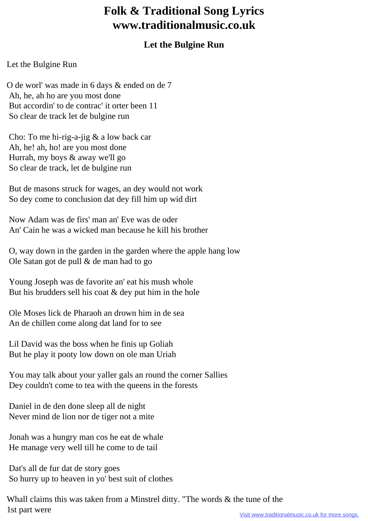## **Folk & Traditional Song Lyrics www.traditionalmusic.co.uk**

## **Let the Bulgine Run**

## Let the Bulgine Run

O de worl' was made in 6 days & ended on de 7 Ah, he, ah ho are you most done But accordin' to de contrac' it orter been 11 So clear de track let de bulgine run

 Cho: To me hi-rig-a-jig & a low back car Ah, he! ah, ho! are you most done Hurrah, my boys & away we'll go So clear de track, let de bulgine run

 But de masons struck for wages, an dey would not work So dey come to conclusion dat dey fill him up wid dirt

 Now Adam was de firs' man an' Eve was de oder An' Cain he was a wicked man because he kill his brother

 O, way down in the garden in the garden where the apple hang low Ole Satan got de pull & de man had to go

 Young Joseph was de favorite an' eat his mush whole But his brudders sell his coat  $\&$  dey put him in the hole

 Ole Moses lick de Pharaoh an drown him in de sea An de chillen come along dat land for to see

 Lil David was the boss when he finis up Goliah But he play it pooty low down on ole man Uriah

 You may talk about your yaller gals an round the corner Sallies Dey couldn't come to tea with the queens in the forests

 Daniel in de den done sleep all de night Never mind de lion nor de tiger not a mite

 Jonah was a hungry man cos he eat de whale He manage very well till he come to de tail

 Dat's all de fur dat de story goes So hurry up to heaven in yo' best suit of clothes

Whall claims this was taken from a Minstrel ditty. "The words & the tune of the 1st part were